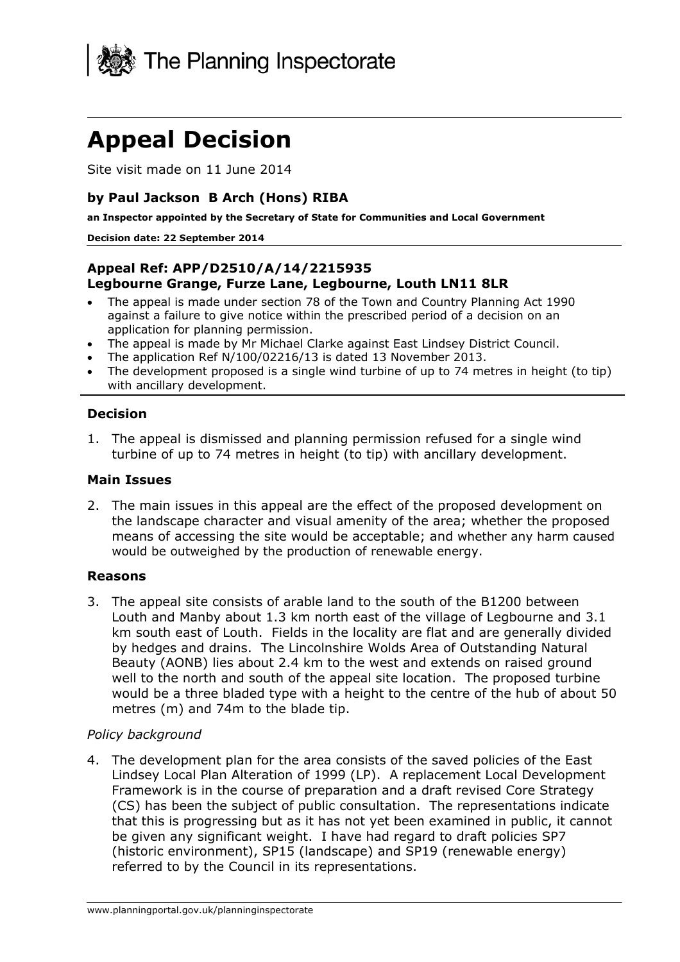

# **Appeal Decision**

Site visit made on 11 June 2014

#### **by Paul Jackson B Arch (Hons) RIBA**

**an Inspector appointed by the Secretary of State for Communities and Local Government** 

#### **Decision date: 22 September 2014**

#### **Appeal Ref: APP/D2510/A/14/2215935 Legbourne Grange, Furze Lane, Legbourne, Louth LN11 8LR**

- The appeal is made under section 78 of the Town and Country Planning Act 1990 against a failure to give notice within the prescribed period of a decision on an application for planning permission.
- The appeal is made by Mr Michael Clarke against East Lindsey District Council.
- The application Ref N/100/02216/13 is dated 13 November 2013.
- The development proposed is a single wind turbine of up to 74 metres in height (to tip) with ancillary development.

#### **Decision**

1. The appeal is dismissed and planning permission refused for a single wind turbine of up to 74 metres in height (to tip) with ancillary development.

#### **Main Issues**

2. The main issues in this appeal are the effect of the proposed development on the landscape character and visual amenity of the area; whether the proposed means of accessing the site would be acceptable; and whether any harm caused would be outweighed by the production of renewable energy.

#### **Reasons**

3. The appeal site consists of arable land to the south of the B1200 between Louth and Manby about 1.3 km north east of the village of Legbourne and 3.1 km south east of Louth. Fields in the locality are flat and are generally divided by hedges and drains. The Lincolnshire Wolds Area of Outstanding Natural Beauty (AONB) lies about 2.4 km to the west and extends on raised ground well to the north and south of the appeal site location. The proposed turbine would be a three bladed type with a height to the centre of the hub of about 50 metres (m) and 74m to the blade tip.

#### *Policy background*

4. The development plan for the area consists of the saved policies of the East Lindsey Local Plan Alteration of 1999 (LP). A replacement Local Development Framework is in the course of preparation and a draft revised Core Strategy (CS) has been the subject of public consultation. The representations indicate that this is progressing but as it has not yet been examined in public, it cannot be given any significant weight. I have had regard to draft policies SP7 (historic environment), SP15 (landscape) and SP19 (renewable energy) referred to by the Council in its representations.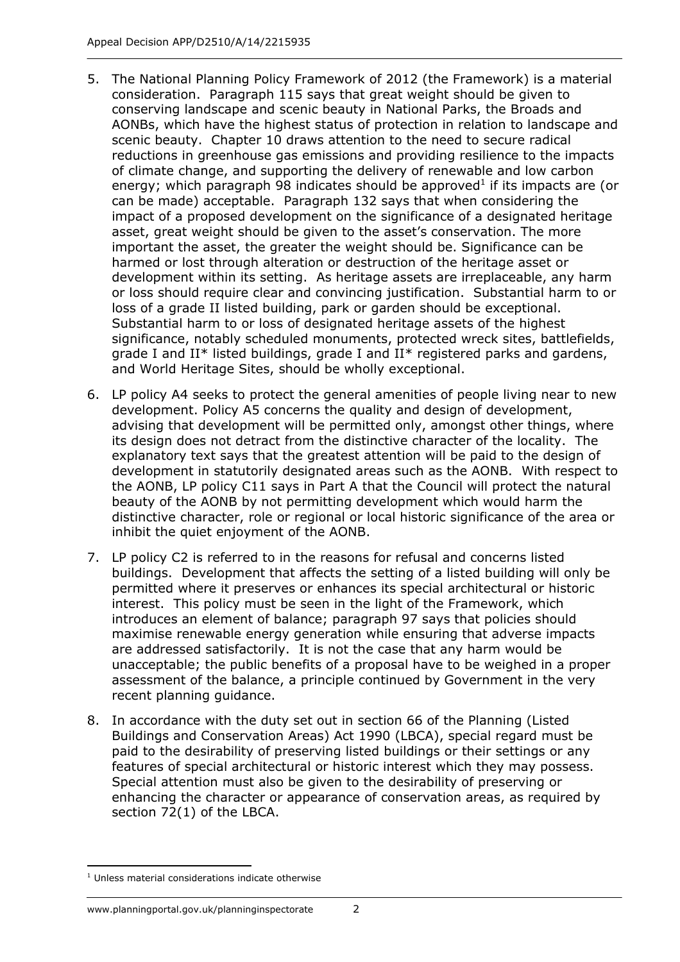- 5. The National Planning Policy Framework of 2012 (the Framework) is a material consideration. Paragraph 115 says that great weight should be given to conserving landscape and scenic beauty in National Parks, the Broads and AONBs, which have the highest status of protection in relation to landscape and scenic beauty. Chapter 10 draws attention to the need to secure radical reductions in greenhouse gas emissions and providing resilience to the impacts of climate change, and supporting the delivery of renewable and low carbon energy; which paragraph 98 indicates should be approved<sup>1</sup> if its impacts are (or can be made) acceptable. Paragraph 132 says that when considering the impact of a proposed development on the significance of a designated heritage asset, great weight should be given to the asset's conservation. The more important the asset, the greater the weight should be. Significance can be harmed or lost through alteration or destruction of the heritage asset or development within its setting. As heritage assets are irreplaceable, any harm or loss should require clear and convincing justification. Substantial harm to or loss of a grade II listed building, park or garden should be exceptional. Substantial harm to or loss of designated heritage assets of the highest significance, notably scheduled monuments, protected wreck sites, battlefields, grade I and II\* listed buildings, grade I and II\* registered parks and gardens, and World Heritage Sites, should be wholly exceptional.
- 6. LP policy A4 seeks to protect the general amenities of people living near to new development. Policy A5 concerns the quality and design of development, advising that development will be permitted only, amongst other things, where its design does not detract from the distinctive character of the locality. The explanatory text says that the greatest attention will be paid to the design of development in statutorily designated areas such as the AONB. With respect to the AONB, LP policy C11 says in Part A that the Council will protect the natural beauty of the AONB by not permitting development which would harm the distinctive character, role or regional or local historic significance of the area or inhibit the quiet enjoyment of the AONB.
- 7. LP policy C2 is referred to in the reasons for refusal and concerns listed buildings. Development that affects the setting of a listed building will only be permitted where it preserves or enhances its special architectural or historic interest. This policy must be seen in the light of the Framework, which introduces an element of balance; paragraph 97 says that policies should maximise renewable energy generation while ensuring that adverse impacts are addressed satisfactorily. It is not the case that any harm would be unacceptable; the public benefits of a proposal have to be weighed in a proper assessment of the balance, a principle continued by Government in the very recent planning guidance.
- 8. In accordance with the duty set out in section 66 of the Planning (Listed Buildings and Conservation Areas) Act 1990 (LBCA), special regard must be paid to the desirability of preserving listed buildings or their settings or any features of special architectural or historic interest which they may possess. Special attention must also be given to the desirability of preserving or enhancing the character or appearance of conservation areas, as required by section 72(1) of the LBCA.

#### www.planningportal.gov.uk/planninginspectorate 2

<sup>1</sup> <sup>1</sup> Unless material considerations indicate otherwise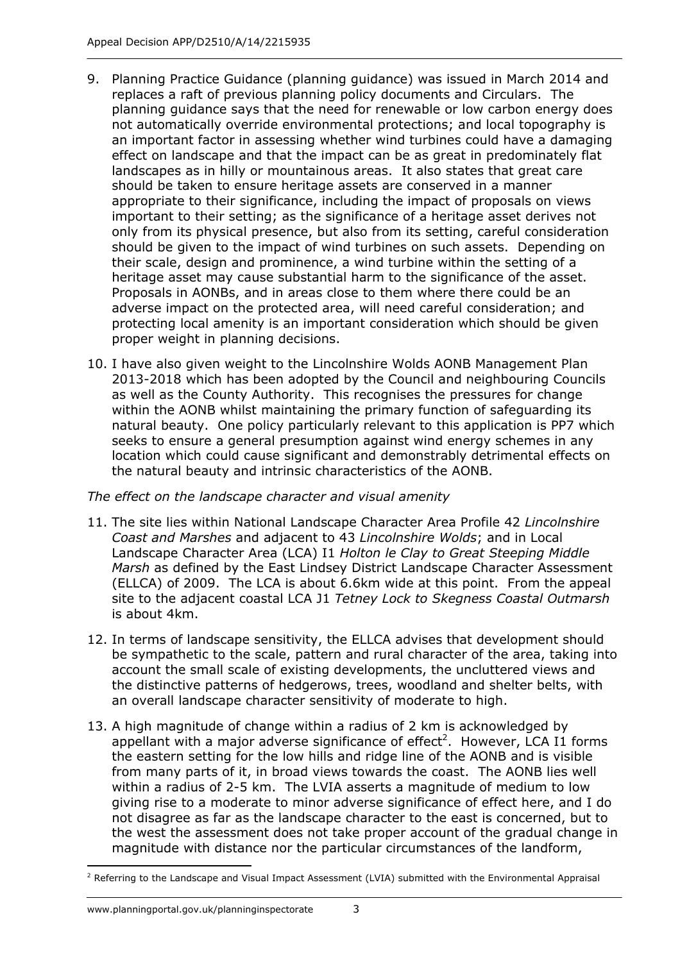- 9. Planning Practice Guidance (planning guidance) was issued in March 2014 and replaces a raft of previous planning policy documents and Circulars. The planning guidance says that the need for renewable or low carbon energy does not automatically override environmental protections; and local topography is an important factor in assessing whether wind turbines could have a damaging effect on landscape and that the impact can be as great in predominately flat landscapes as in hilly or mountainous areas. It also states that great care should be taken to ensure heritage assets are conserved in a manner appropriate to their significance, including the impact of proposals on views important to their setting; as the significance of a heritage asset derives not only from its physical presence, but also from its setting, careful consideration should be given to the impact of wind turbines on such assets. Depending on their scale, design and prominence, a wind turbine within the setting of a heritage asset may cause substantial harm to the significance of the asset. Proposals in AONBs, and in areas close to them where there could be an adverse impact on the protected area, will need careful consideration; and protecting local amenity is an important consideration which should be given proper weight in planning decisions.
- 10. I have also given weight to the Lincolnshire Wolds AONB Management Plan 2013-2018 which has been adopted by the Council and neighbouring Councils as well as the County Authority. This recognises the pressures for change within the AONB whilst maintaining the primary function of safeguarding its natural beauty. One policy particularly relevant to this application is PP7 which seeks to ensure a general presumption against wind energy schemes in any location which could cause significant and demonstrably detrimental effects on the natural beauty and intrinsic characteristics of the AONB.

## *The effect on the landscape character and visual amenity*

- 11. The site lies within National Landscape Character Area Profile 42 *Lincolnshire Coast and Marshes* and adjacent to 43 *Lincolnshire Wolds*; and in Local Landscape Character Area (LCA) I1 *Holton le Clay to Great Steeping Middle Marsh* as defined by the East Lindsey District Landscape Character Assessment (ELLCA) of 2009. The LCA is about 6.6km wide at this point. From the appeal site to the adjacent coastal LCA J1 *Tetney Lock to Skegness Coastal Outmarsh* is about 4km.
- 12. In terms of landscape sensitivity, the ELLCA advises that development should be sympathetic to the scale, pattern and rural character of the area, taking into account the small scale of existing developments, the uncluttered views and the distinctive patterns of hedgerows, trees, woodland and shelter belts, with an overall landscape character sensitivity of moderate to high.
- 13. A high magnitude of change within a radius of 2 km is acknowledged by appellant with a major adverse significance of effect<sup>2</sup>. However, LCA I1 forms the eastern setting for the low hills and ridge line of the AONB and is visible from many parts of it, in broad views towards the coast. The AONB lies well within a radius of 2-5 km. The LVIA asserts a magnitude of medium to low giving rise to a moderate to minor adverse significance of effect here, and I do not disagree as far as the landscape character to the east is concerned, but to the west the assessment does not take proper account of the gradual change in magnitude with distance nor the particular circumstances of the landform,

<sup>1</sup> <sup>2</sup> Referring to the Landscape and Visual Impact Assessment (LVIA) submitted with the Environmental Appraisal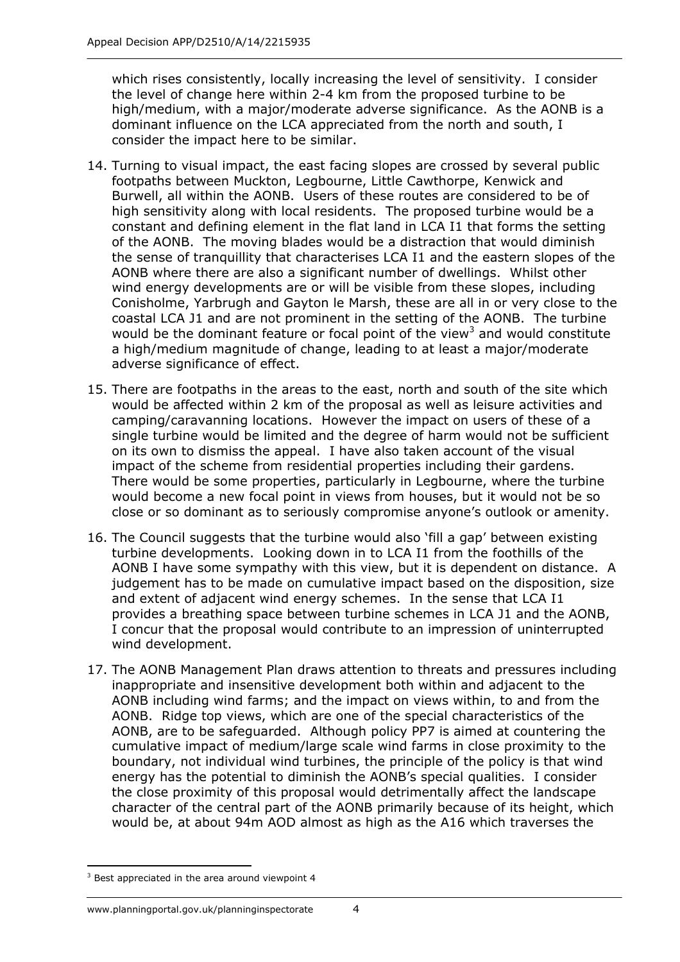which rises consistently, locally increasing the level of sensitivity. I consider the level of change here within 2-4 km from the proposed turbine to be high/medium, with a major/moderate adverse significance. As the AONB is a dominant influence on the LCA appreciated from the north and south, I consider the impact here to be similar.

- 14. Turning to visual impact, the east facing slopes are crossed by several public footpaths between Muckton, Legbourne, Little Cawthorpe, Kenwick and Burwell, all within the AONB. Users of these routes are considered to be of high sensitivity along with local residents. The proposed turbine would be a constant and defining element in the flat land in LCA I1 that forms the setting of the AONB. The moving blades would be a distraction that would diminish the sense of tranquillity that characterises LCA I1 and the eastern slopes of the AONB where there are also a significant number of dwellings. Whilst other wind energy developments are or will be visible from these slopes, including Conisholme, Yarbrugh and Gayton le Marsh, these are all in or very close to the coastal LCA J1 and are not prominent in the setting of the AONB. The turbine would be the dominant feature or focal point of the view<sup>3</sup> and would constitute a high/medium magnitude of change, leading to at least a major/moderate adverse significance of effect.
- 15. There are footpaths in the areas to the east, north and south of the site which would be affected within 2 km of the proposal as well as leisure activities and camping/caravanning locations. However the impact on users of these of a single turbine would be limited and the degree of harm would not be sufficient on its own to dismiss the appeal. I have also taken account of the visual impact of the scheme from residential properties including their gardens. There would be some properties, particularly in Legbourne, where the turbine would become a new focal point in views from houses, but it would not be so close or so dominant as to seriously compromise anyone's outlook or amenity.
- 16. The Council suggests that the turbine would also 'fill a gap' between existing turbine developments. Looking down in to LCA I1 from the foothills of the AONB I have some sympathy with this view, but it is dependent on distance. A judgement has to be made on cumulative impact based on the disposition, size and extent of adjacent wind energy schemes. In the sense that LCA I1 provides a breathing space between turbine schemes in LCA J1 and the AONB, I concur that the proposal would contribute to an impression of uninterrupted wind development.
- 17. The AONB Management Plan draws attention to threats and pressures including inappropriate and insensitive development both within and adjacent to the AONB including wind farms; and the impact on views within, to and from the AONB. Ridge top views, which are one of the special characteristics of the AONB, are to be safeguarded. Although policy PP7 is aimed at countering the cumulative impact of medium/large scale wind farms in close proximity to the boundary, not individual wind turbines, the principle of the policy is that wind energy has the potential to diminish the AONB's special qualities. I consider the close proximity of this proposal would detrimentally affect the landscape character of the central part of the AONB primarily because of its height, which would be, at about 94m AOD almost as high as the A16 which traverses the

1

 $3$  Best appreciated in the area around viewpoint 4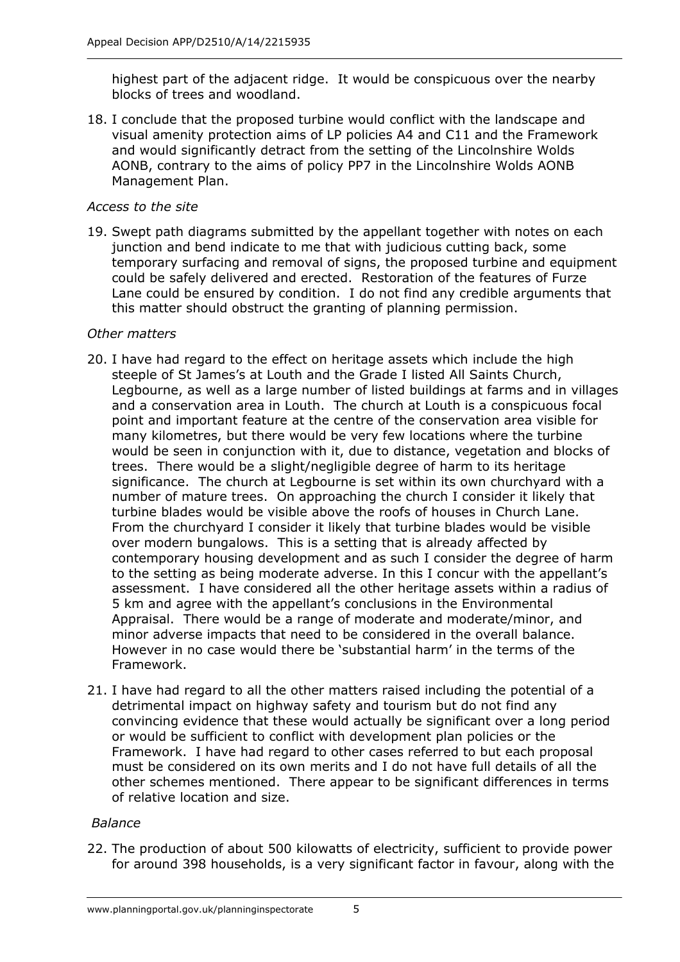highest part of the adjacent ridge. It would be conspicuous over the nearby blocks of trees and woodland.

18. I conclude that the proposed turbine would conflict with the landscape and visual amenity protection aims of LP policies A4 and C11 and the Framework and would significantly detract from the setting of the Lincolnshire Wolds AONB, contrary to the aims of policy PP7 in the Lincolnshire Wolds AONB Management Plan.

#### *Access to the site*

19. Swept path diagrams submitted by the appellant together with notes on each junction and bend indicate to me that with judicious cutting back, some temporary surfacing and removal of signs, the proposed turbine and equipment could be safely delivered and erected. Restoration of the features of Furze Lane could be ensured by condition. I do not find any credible arguments that this matter should obstruct the granting of planning permission.

#### *Other matters*

- 20. I have had regard to the effect on heritage assets which include the high steeple of St James's at Louth and the Grade I listed All Saints Church, Legbourne, as well as a large number of listed buildings at farms and in villages and a conservation area in Louth. The church at Louth is a conspicuous focal point and important feature at the centre of the conservation area visible for many kilometres, but there would be very few locations where the turbine would be seen in conjunction with it, due to distance, vegetation and blocks of trees. There would be a slight/negligible degree of harm to its heritage significance. The church at Legbourne is set within its own churchyard with a number of mature trees. On approaching the church I consider it likely that turbine blades would be visible above the roofs of houses in Church Lane. From the churchyard I consider it likely that turbine blades would be visible over modern bungalows. This is a setting that is already affected by contemporary housing development and as such I consider the degree of harm to the setting as being moderate adverse. In this I concur with the appellant's assessment. I have considered all the other heritage assets within a radius of 5 km and agree with the appellant's conclusions in the Environmental Appraisal. There would be a range of moderate and moderate/minor, and minor adverse impacts that need to be considered in the overall balance. However in no case would there be 'substantial harm' in the terms of the Framework.
- 21. I have had regard to all the other matters raised including the potential of a detrimental impact on highway safety and tourism but do not find any convincing evidence that these would actually be significant over a long period or would be sufficient to conflict with development plan policies or the Framework. I have had regard to other cases referred to but each proposal must be considered on its own merits and I do not have full details of all the other schemes mentioned. There appear to be significant differences in terms of relative location and size.

## *Balance*

22. The production of about 500 kilowatts of electricity, sufficient to provide power for around 398 households, is a very significant factor in favour, along with the